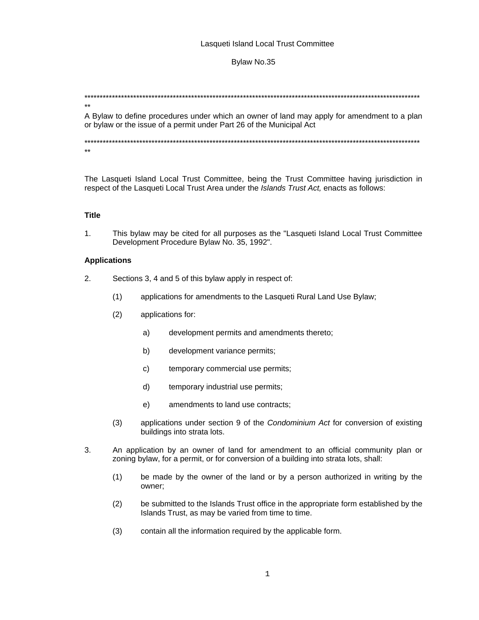## Lasqueti Island Local Trust Committee

## Bylaw No.35

A Bylaw to define procedures under which an owner of land may apply for amendment to a plan or bylaw or the issue of a permit under Part 26 of the Municipal Act

 $\star\star$ 

 $\star\star$ 

The Lasqueti Island Local Trust Committee, being the Trust Committee having jurisdiction in respect of the Lasqueti Local Trust Area under the Islands Trust Act, enacts as follows:

## **Title**

This bylaw may be cited for all purposes as the "Lasqueti Island Local Trust Committee  $1.$ Development Procedure Bylaw No. 35, 1992".

### **Applications**

- $2.$ Sections 3, 4 and 5 of this bylaw apply in respect of:
	- $(1)$ applications for amendments to the Lasqueti Rural Land Use Bylaw;
	- $(2)$ applications for:
		- $a)$ development permits and amendments thereto;
		- b) development variance permits;
		- $\mathsf{C}$ temporary commercial use permits;
		- $d)$ temporary industrial use permits;
		- $e)$ amendments to land use contracts;
	- applications under section 9 of the Condominium Act for conversion of existing  $(3)$ buildings into strata lots.
- $3<sub>1</sub>$ An application by an owner of land for amendment to an official community plan or zoning bylaw, for a permit, or for conversion of a building into strata lots, shall:
	- be made by the owner of the land or by a person authorized in writing by the  $(1)$ owner:
	- be submitted to the Islands Trust office in the appropriate form established by the  $(2)$ Islands Trust, as may be varied from time to time.
	- $(3)$ contain all the information required by the applicable form.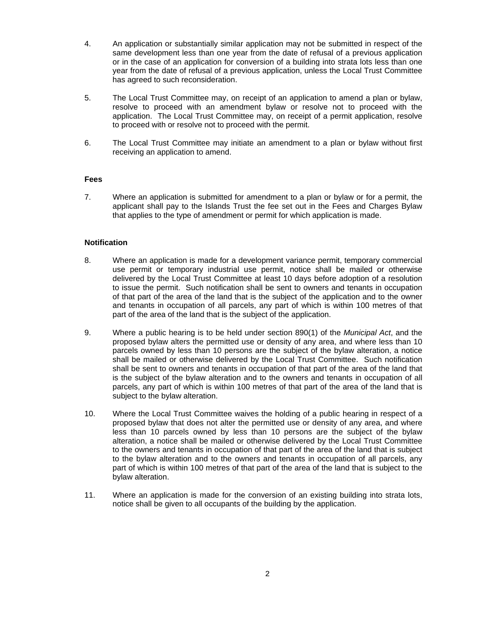- 4. An application or substantially similar application may not be submitted in respect of the same development less than one year from the date of refusal of a previous application or in the case of an application for conversion of a building into strata lots less than one year from the date of refusal of a previous application, unless the Local Trust Committee has agreed to such reconsideration.
- 5. The Local Trust Committee may, on receipt of an application to amend a plan or bylaw, resolve to proceed with an amendment bylaw or resolve not to proceed with the application. The Local Trust Committee may, on receipt of a permit application, resolve to proceed with or resolve not to proceed with the permit.
- 6. The Local Trust Committee may initiate an amendment to a plan or bylaw without first receiving an application to amend.

# **Fees**

7. Where an application is submitted for amendment to a plan or bylaw or for a permit, the applicant shall pay to the Islands Trust the fee set out in the Fees and Charges Bylaw that applies to the type of amendment or permit for which application is made.

# **Notification**

- 8. Where an application is made for a development variance permit, temporary commercial use permit or temporary industrial use permit, notice shall be mailed or otherwise delivered by the Local Trust Committee at least 10 days before adoption of a resolution to issue the permit. Such notification shall be sent to owners and tenants in occupation of that part of the area of the land that is the subject of the application and to the owner and tenants in occupation of all parcels, any part of which is within 100 metres of that part of the area of the land that is the subject of the application.
- 9. Where a public hearing is to be held under section 890(1) of the *Municipal Act*, and the proposed bylaw alters the permitted use or density of any area, and where less than 10 parcels owned by less than 10 persons are the subject of the bylaw alteration, a notice shall be mailed or otherwise delivered by the Local Trust Committee. Such notification shall be sent to owners and tenants in occupation of that part of the area of the land that is the subject of the bylaw alteration and to the owners and tenants in occupation of all parcels, any part of which is within 100 metres of that part of the area of the land that is subject to the bylaw alteration.
- 10. Where the Local Trust Committee waives the holding of a public hearing in respect of a proposed bylaw that does not alter the permitted use or density of any area, and where less than 10 parcels owned by less than 10 persons are the subject of the bylaw alteration, a notice shall be mailed or otherwise delivered by the Local Trust Committee to the owners and tenants in occupation of that part of the area of the land that is subject to the bylaw alteration and to the owners and tenants in occupation of all parcels, any part of which is within 100 metres of that part of the area of the land that is subject to the bylaw alteration.
- 11. Where an application is made for the conversion of an existing building into strata lots, notice shall be given to all occupants of the building by the application.